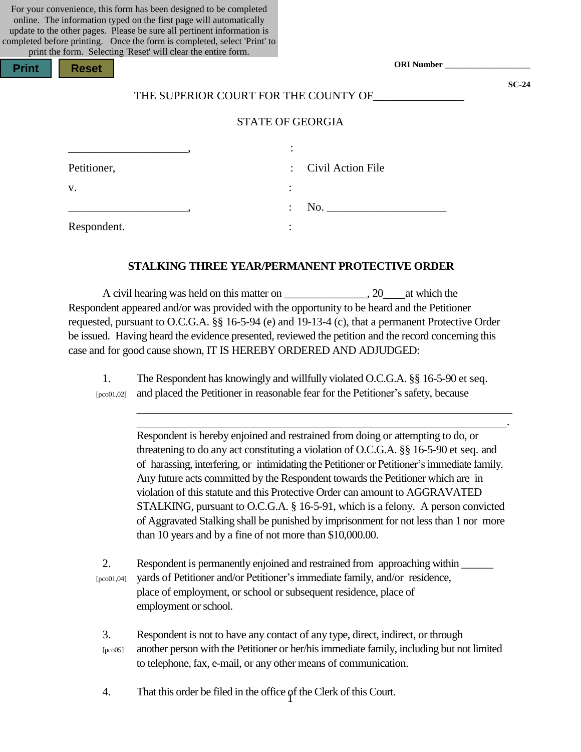| For your convenience, this form has been designed to be completed        |
|--------------------------------------------------------------------------|
| online. The information typed on the first page will automatically       |
| update to the other pages. Please be sure all pertinent information is   |
| completed before printing. Once the form is completed, select 'Print' to |
| print the form. Selecting 'Reset' will clear the entire form.            |

| Print | Re |
|-------|----|
|-------|----|

**Print Reset**

**ORI Number \_\_\_\_\_\_\_\_\_\_\_\_\_\_\_\_\_\_\_\_**

**SC-24**

.

## THE SUPERIOR COURT FOR THE COUNTY OF

# STATE OF GEORGIA

|             | ٠<br>$\bullet$            |                     |
|-------------|---------------------------|---------------------|
| Petitioner, |                           | : Civil Action File |
| V.          |                           |                     |
|             | $\mathbb{R}^{\mathbb{Z}}$ | No.                 |
| Respondent. |                           |                     |

#### **STALKING THREE YEAR/PERMANENT PROTECTIVE ORDER**

A civil hearing was held on this matter on  $\qquad \qquad$ , 20 at which the Respondent appeared and/or was provided with the opportunity to be heard and the Petitioner requested, pursuant to O.C.G.A. §§ 16-5-94 (e) and 19-13-4 (c), that a permanent Protective Order be issued. Having heard the evidence presented, reviewed the petition and the record concerning this case and for good cause shown, IT IS HEREBY ORDERED AND ADJUDGED:

1. The Respondent has knowingly and willfully violated O.C.G.A. §§ 16-5-90 et seq. [pco01,02] and placed the Petitioner in reasonable fear for the Petitioner's safety, because

> Respondent is hereby enjoined and restrained from doing or attempting to do, or threatening to do any act constituting a violation of O.C.G.A. §§ 16-5-90 et seq. and of harassing, interfering, or intimidating the Petitioner or Petitioner's immediate family. Any future acts committed by the Respondent towards the Petitioner which are in violation of this statute and this Protective Order can amount to AGGRAVATED STALKING, pursuant to O.C.G.A. § 16-5-91, which is a felony. A person convicted of Aggravated Stalking shall be punished by imprisonment for not less than 1 nor more than 10 years and by a fine of not more than \$10,000.00.

2. Respondent is permanently enjoined and restrained from approaching within  $\frac{1}{\sqrt{2\pi}}$ [pco01,04] yards of Petitioner and/or Petitioner's immediate family, and/or residence, place of employment, or school or subsequent residence, place of employment or school.

3. Respondent is not to have any contact of any type, direct, indirect, or through [pco05] another person with the Petitioner or her/hisimmediate family, including but not limited to telephone, fax, e-mail, or any other means of communication.

1 4. That this order be filed in the office of the Clerk of this Court.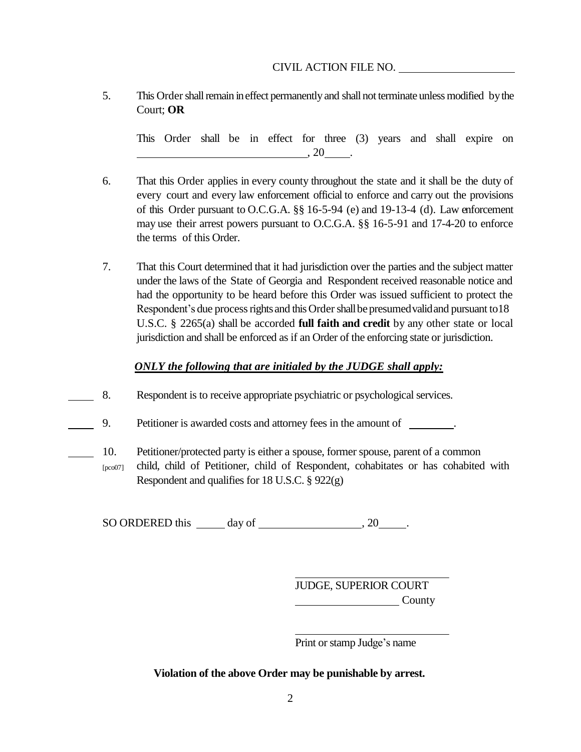# CIVIL ACTION FILE NO.

5. This Order shall remain in effect permanently and shall not terminate unless modified by the Court; **OR**

This Order shall be in effect for three (3) years and shall expire on  $\overline{\phantom{a}}$ , 20  $\phantom{a}$ .

- 6. That this Order applies in every county throughout the state and it shall be the duty of every court and every law enforcement official to enforce and carry out the provisions of this Order pursuant to O.C.G.A. §§ 16-5-94 (e) and 19-13-4 (d). Law enforcement may use their arrest powers pursuant to O.C.G.A. §§ 16-5-91 and 17-4-20 to enforce the terms of this Order.
- 7. That this Court determined that it had jurisdiction over the parties and the subject matter under the laws of the State of Georgia and Respondent received reasonable notice and had the opportunity to be heard before this Order was issued sufficient to protect the Respondent's due process rights and this Order shall be presumed valid and pursuant to 18 U.S.C. § 2265(a) shall be accorded **full faith and credit** by any other state or local jurisdiction and shall be enforced as if an Order of the enforcing state or jurisdiction.

# *ONLY the following that are initialed by the JUDGE shall apply:*

8. Respondent is to receive appropriate psychiatric or psychological services.

9. Petitioner is awarded costs and attorney fees in the amount of .

- 10. Petitioner/protected party is either a spouse, former spouse, parent of a common
	- $[pco07]$ child, child of Petitioner, child of Respondent, cohabitates or has cohabited with Respondent and qualifies for 18 U.S.C. § 922(g)

SO ORDERED this day of , 20 .

JUDGE, SUPERIOR COURT **County** 

Print or stamp Judge's name

**Violation of the above Order may be punishable by arrest.**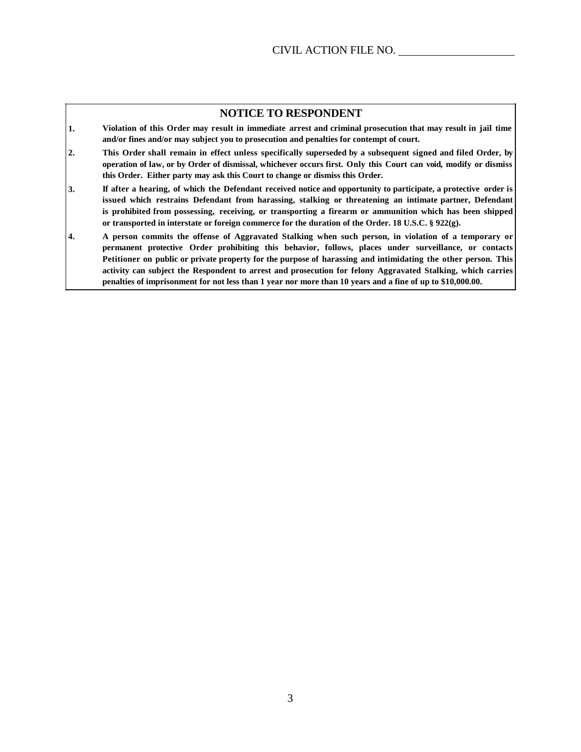#### **NOTICE TO RESPONDENT**

- 1. Violation of this Order may result in immediate arrest and criminal prosecution that may result in jail time **and/or fines and/or may subject you to prosecution and penalties for contempt of court.**
- 2. This Order shall remain in effect unless specifically superseded by a subsequent signed and filed Order, by **operation of law, or by Order of dismissal, whichever occurs first. Only this Court can void, modify or dismiss this Order. Either party may ask this Court to change or dismiss this Order.**
- **3. If after a hearing, of which the Defendant received notice and opportunity to participate, a protective order is issued which restrains Defendant from harassing, stalking or threatening an intimate partner, Defendant is prohibited from possessing, receiving, or transporting a firearm or ammunition which has been shipped or transported in interstate or foreign commerce for the duration of the Order. 18 U.S.C. § 922(g).**
- 4. A person commits the offense of Aggravated Stalking when such person, in violation of a temporary or **permanent protective Order prohibiting this behavior, follows, places under surveillance, or contacts Petitioner on public or private property for the purpose of harassing and intimidating the other person. This activity can subject the Respondent to arrest and prosecution for felony Aggravated Stalking, which carries** penalties of imprisonment for not less than 1 year nor more than 10 years and a fine of up to \$10,000.00.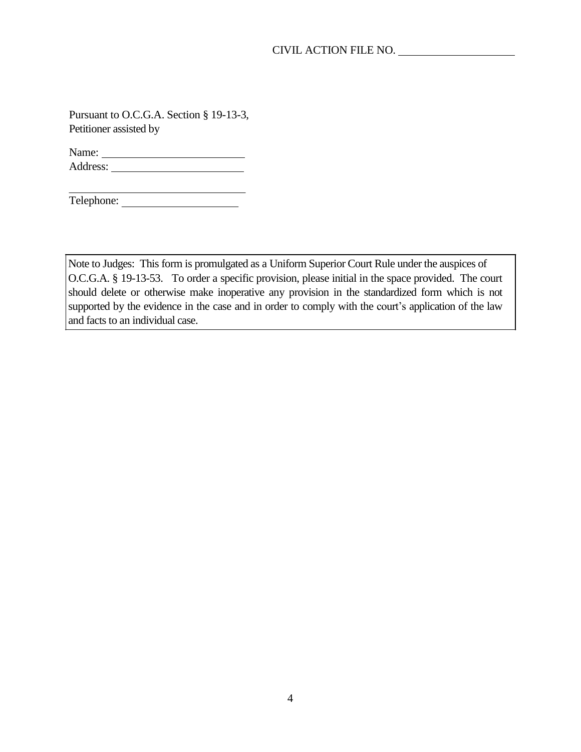Pursuant to O.C.G.A. Section § 19-13-3, Petitioner assisted by

Name: Address:

Telephone:

Note to Judges: This form is promulgated as a Uniform Superior Court Rule under the auspices of O.C.G.A. § 19-13-53. To order a specific provision, please initial in the space provided. The court should delete or otherwise make inoperative any provision in the standardized form which is not supported by the evidence in the case and in order to comply with the court's application of the law and facts to an individual case.